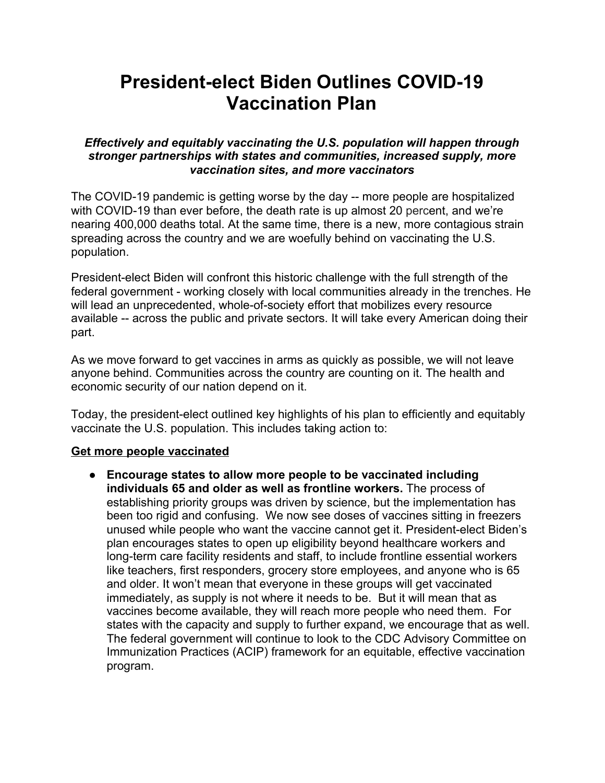# **President-elect Biden Outlines COVID-19 Vaccination Plan**

*Effectively and equitably vaccinating the U.S. population will happen through stronger partnerships with states and communities, increased supply, more vaccination sites, and more vaccinators*

The COVID-19 pandemic is getting worse by the day -- more people are hospitalized with COVID-19 than ever before, the death rate is up almost 20 percent, and we're nearing 400,000 deaths total. At the same time, there is a new, more contagious strain spreading across the country and we are woefully behind on vaccinating the U.S. population.

President-elect Biden will confront this historic challenge with the full strength of the federal government - working closely with local communities already in the trenches. He will lead an unprecedented, whole-of-society effort that mobilizes every resource available -- across the public and private sectors. It will take every American doing their part.

As we move forward to get vaccines in arms as quickly as possible, we will not leave anyone behind. Communities across the country are counting on it. The health and economic security of our nation depend on it.

Today, the president-elect outlined key highlights of his plan to efficiently and equitably vaccinate the U.S. population. This includes taking action to:

# **Get more people vaccinated**

● **Encourage states to allow more people to be vaccinated including individuals 65 and older as well as frontline workers.** The process of establishing priority groups was driven by science, but the implementation has been too rigid and confusing. We now see doses of vaccines sitting in freezers unused while people who want the vaccine cannot get it. President-elect Biden's plan encourages states to open up eligibility beyond healthcare workers and long-term care facility residents and staff, to include frontline essential workers like teachers, first responders, grocery store employees, and anyone who is 65 and older. It won't mean that everyone in these groups will get vaccinated immediately, as supply is not where it needs to be. But it will mean that as vaccines become available, they will reach more people who need them. For states with the capacity and supply to further expand, we encourage that as well. The federal government will continue to look to the CDC Advisory Committee on Immunization Practices (ACIP) framework for an equitable, effective vaccination program.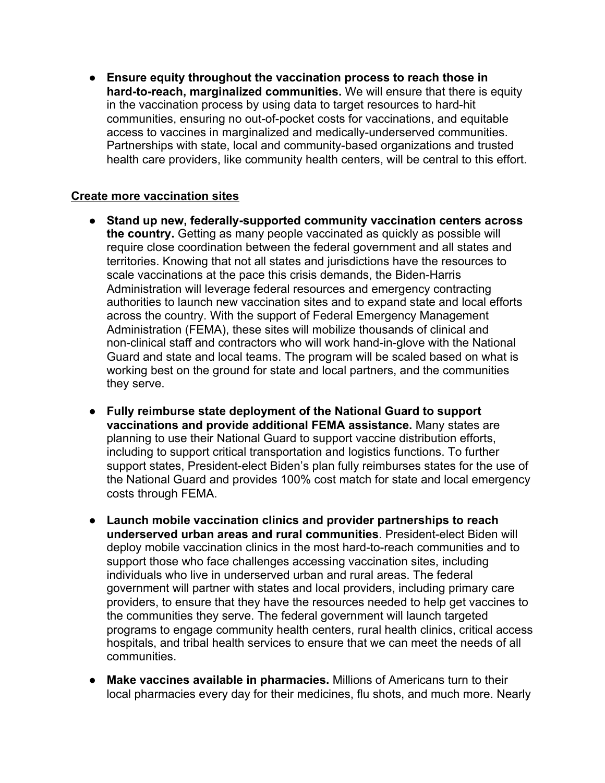● **Ensure equity throughout the vaccination process to reach those in hard-to-reach, marginalized communities.** We will ensure that there is equity in the vaccination process by using data to target resources to hard-hit communities, ensuring no out-of-pocket costs for vaccinations, and equitable access to vaccines in marginalized and medically-underserved communities. Partnerships with state, local and community-based organizations and trusted health care providers, like community health centers, will be central to this effort.

# **Create more vaccination sites**

- **Stand up new, federally-supported community vaccination centers across the country.** Getting as many people vaccinated as quickly as possible will require close coordination between the federal government and all states and territories. Knowing that not all states and jurisdictions have the resources to scale vaccinations at the pace this crisis demands, the Biden-Harris Administration will leverage federal resources and emergency contracting authorities to launch new vaccination sites and to expand state and local efforts across the country. With the support of Federal Emergency Management Administration (FEMA), these sites will mobilize thousands of clinical and non-clinical staff and contractors who will work hand-in-glove with the National Guard and state and local teams. The program will be scaled based on what is working best on the ground for state and local partners, and the communities they serve.
- **Fully reimburse state deployment of the National Guard to support vaccinations and provide additional FEMA assistance.** Many states are planning to use their National Guard to support vaccine distribution efforts, including to support critical transportation and logistics functions. To further support states, President-elect Biden's plan fully reimburses states for the use of the National Guard and provides 100% cost match for state and local emergency costs through FEMA.
- **Launch mobile vaccination clinics and provider partnerships to reach underserved urban areas and rural communities**. President-elect Biden will deploy mobile vaccination clinics in the most hard-to-reach communities and to support those who face challenges accessing vaccination sites, including individuals who live in underserved urban and rural areas. The federal government will partner with states and local providers, including primary care providers, to ensure that they have the resources needed to help get vaccines to the communities they serve. The federal government will launch targeted programs to engage community health centers, rural health clinics, critical access hospitals, and tribal health services to ensure that we can meet the needs of all communities.
- **Make vaccines available in pharmacies.** Millions of Americans turn to their local pharmacies every day for their medicines, flu shots, and much more. Nearly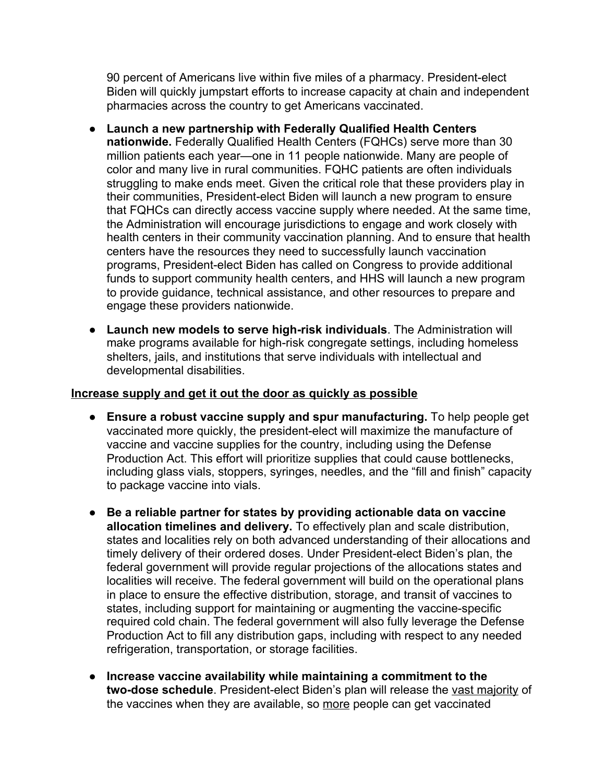90 percent of Americans live within five miles of a pharmacy. President-elect Biden will quickly jumpstart efforts to increase capacity at chain and independent pharmacies across the country to get Americans vaccinated.

- **Launch a new partnership with Federally Qualified Health Centers nationwide.** Federally Qualified Health Centers (FQHCs) serve more than 30 million patients each year—one in 11 people nationwide. Many are people of color and many live in rural communities. FQHC patients are often individuals struggling to make ends meet. Given the critical role that these providers play in their communities, President-elect Biden will launch a new program to ensure that FQHCs can directly access vaccine supply where needed. At the same time, the Administration will encourage jurisdictions to engage and work closely with health centers in their community vaccination planning. And to ensure that health centers have the resources they need to successfully launch vaccination programs, President-elect Biden has called on Congress to provide additional funds to support community health centers, and HHS will launch a new program to provide guidance, technical assistance, and other resources to prepare and engage these providers nationwide.
- **Launch new models to serve high-risk individuals**. The Administration will make programs available for high-risk congregate settings, including homeless shelters, jails, and institutions that serve individuals with intellectual and developmental disabilities.

# **Increase supply and get it out the door as quickly as possible**

- **Ensure a robust vaccine supply and spur manufacturing.** To help people get vaccinated more quickly, the president-elect will maximize the manufacture of vaccine and vaccine supplies for the country, including using the Defense Production Act. This effort will prioritize supplies that could cause bottlenecks, including glass vials, stoppers, syringes, needles, and the "fill and finish" capacity to package vaccine into vials.
- **Be a reliable partner for states by providing actionable data on vaccine allocation timelines and delivery.** To effectively plan and scale distribution, states and localities rely on both advanced understanding of their allocations and timely delivery of their ordered doses. Under President-elect Biden's plan, the federal government will provide regular projections of the allocations states and localities will receive. The federal government will build on the operational plans in place to ensure the effective distribution, storage, and transit of vaccines to states, including support for maintaining or augmenting the vaccine-specific required cold chain. The federal government will also fully leverage the Defense Production Act to fill any distribution gaps, including with respect to any needed refrigeration, transportation, or storage facilities.
- the vaccines when they are available, so <u>more</u> people can get vaccinated ● **Increase vaccine availability while maintaining a commitment to the two-dose schedule**. President-elect Biden's plan will release the vast majority of